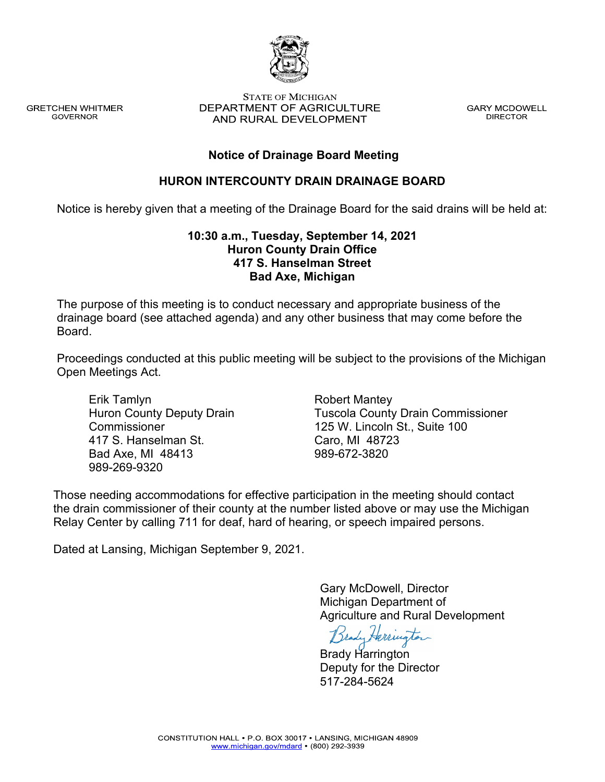

**GRETCHEN WHITMER GOVERNOR** 

**STATE OF MICHIGAN** DEPARTMENT OF AGRICULTURE AND RURAL DEVELOPMENT

**GARY MCDOWELL DIRECTOR** 

# **Notice of Drainage Board Meeting**

## **HURON INTERCOUNTY DRAIN DRAINAGE BOARD**

Notice is hereby given that a meeting of the Drainage Board for the said drains will be held at:

## **10:30 a.m., Tuesday, September 14, 2021 Huron County Drain Office 417 S. Hanselman Street Bad Axe, Michigan**

The purpose of this meeting is to conduct necessary and appropriate business of the drainage board (see attached agenda) and any other business that may come before the Board.

Proceedings conducted at this public meeting will be subject to the provisions of the Michigan Open Meetings Act.

Erik Tamlyn Huron County Deputy Drain **Commissioner** 417 S. Hanselman St. Bad Axe, MI 48413 989-269-9320

Robert Mantey Tuscola County Drain Commissioner 125 W. Lincoln St., Suite 100 Caro, MI 48723 989-672-3820

Those needing accommodations for effective participation in the meeting should contact the drain commissioner of their county at the number listed above or may use the Michigan Relay Center by calling 711 for deaf, hard of hearing, or speech impaired persons.

Dated at Lansing, Michigan September 9, 2021.

Gary McDowell, Director Michigan Department of Agriculture and Rural Development

Brady Harrington

Brady Harrington Deputy for the Director 517-284-5624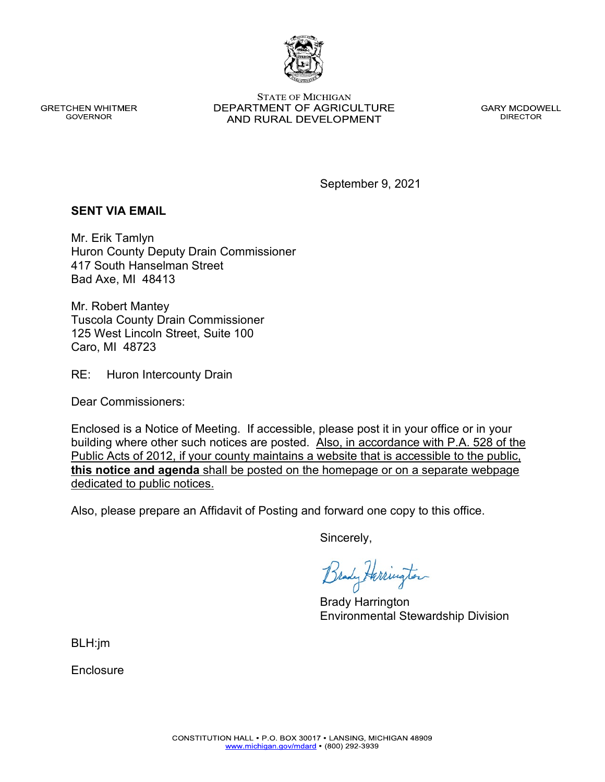www.michigan.gov/mdard • (800) 292-3939

**GRETCHEN WHITMER GOVERNOR** 

**STATE OF MICHIGAN** DEPARTMENT OF AGRICULTURE AND RURAL DEVELOPMENT

**GARY MCDOWELL DIRECTOR** 

September 9, 2021

### **SENT VIA EMAIL**

Mr. Erik Tamlyn Huron County Deputy Drain Commissioner 417 South Hanselman Street Bad Axe, MI 48413

Mr. Robert Mantey Tuscola County Drain Commissioner 125 West Lincoln Street, Suite 100 Caro, MI 48723

RE: Huron Intercounty Drain

Dear Commissioners:

Enclosed is a Notice of Meeting. If accessible, please post it in your office or in your building where other such notices are posted. Also, in accordance with P.A. 528 of the Public Acts of 2012, if your county maintains a website that is accessible to the public, **this notice and agenda** shall be posted on the homepage or on a separate webpage dedicated to public notices.

Also, please prepare an Affidavit of Posting and forward one copy to this office.

Sincerely,

Brady Herrington

Brady Harrington Environmental Stewardship Division

BLH:jm

**Enclosure**